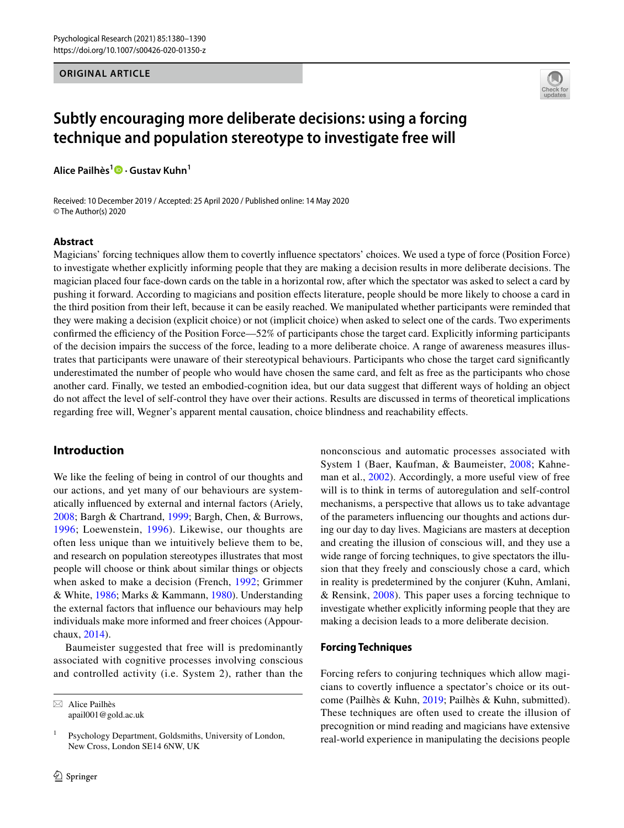#### **ORIGINAL ARTICLE**



# **Subtly encouraging more deliberate decisions: using a forcing technique and population stereotype to investigate free will**

**Alice Pailhès1 · Gustav Kuhn1**

Received: 10 December 2019 / Accepted: 25 April 2020 / Published online: 14 May 2020 © The Author(s) 2020

#### **Abstract**

Magicians' forcing techniques allow them to covertly infuence spectators' choices. We used a type of force (Position Force) to investigate whether explicitly informing people that they are making a decision results in more deliberate decisions. The magician placed four face-down cards on the table in a horizontal row, after which the spectator was asked to select a card by pushing it forward. According to magicians and position efects literature, people should be more likely to choose a card in the third position from their left, because it can be easily reached. We manipulated whether participants were reminded that they were making a decision (explicit choice) or not (implicit choice) when asked to select one of the cards. Two experiments confirmed the efficiency of the Position Force—52% of participants chose the target card. Explicitly informing participants of the decision impairs the success of the force, leading to a more deliberate choice. A range of awareness measures illustrates that participants were unaware of their stereotypical behaviours. Participants who chose the target card signifcantly underestimated the number of people who would have chosen the same card, and felt as free as the participants who chose another card. Finally, we tested an embodied-cognition idea, but our data suggest that diferent ways of holding an object do not afect the level of self-control they have over their actions. Results are discussed in terms of theoretical implications regarding free will, Wegner's apparent mental causation, choice blindness and reachability efects.

# **Introduction**

We like the feeling of being in control of our thoughts and our actions, and yet many of our behaviours are systematically infuenced by external and internal factors (Ariely, [2008](#page-9-0); Bargh & Chartrand, [1999](#page-9-1); Bargh, Chen, & Burrows, [1996](#page-9-2); Loewenstein, [1996](#page-10-0)). Likewise, our thoughts are often less unique than we intuitively believe them to be, and research on population stereotypes illustrates that most people will choose or think about similar things or objects when asked to make a decision (French, [1992;](#page-9-3) Grimmer & White, [1986;](#page-10-1) Marks & Kammann, [1980\)](#page-10-2). Understanding the external factors that infuence our behaviours may help individuals make more informed and freer choices (Appourchaux, [2014](#page-9-4)).

Baumeister suggested that free will is predominantly associated with cognitive processes involving conscious and controlled activity (i.e. System 2), rather than the

 $\boxtimes$  Alice Pailhès apail001@gold.ac.uk nonconscious and automatic processes associated with System 1 (Baer, Kaufman, & Baumeister, [2008](#page-9-5); Kahneman et al., [2002](#page-10-3)). Accordingly, a more useful view of free will is to think in terms of autoregulation and self-control mechanisms, a perspective that allows us to take advantage of the parameters infuencing our thoughts and actions during our day to day lives. Magicians are masters at deception and creating the illusion of conscious will, and they use a wide range of forcing techniques, to give spectators the illusion that they freely and consciously chose a card, which in reality is predetermined by the conjurer (Kuhn, Amlani, & Rensink, [2008\)](#page-10-4). This paper uses a forcing technique to investigate whether explicitly informing people that they are making a decision leads to a more deliberate decision.

#### **Forcing Techniques**

Forcing refers to conjuring techniques which allow magicians to covertly infuence a spectator's choice or its outcome (Pailhès & Kuhn, [2019;](#page-10-5) Pailhès & Kuhn, submitted). These techniques are often used to create the illusion of precognition or mind reading and magicians have extensive real-world experience in manipulating the decisions people

 $1$  Psychology Department, Goldsmiths, University of London, New Cross, London SE14 6NW, UK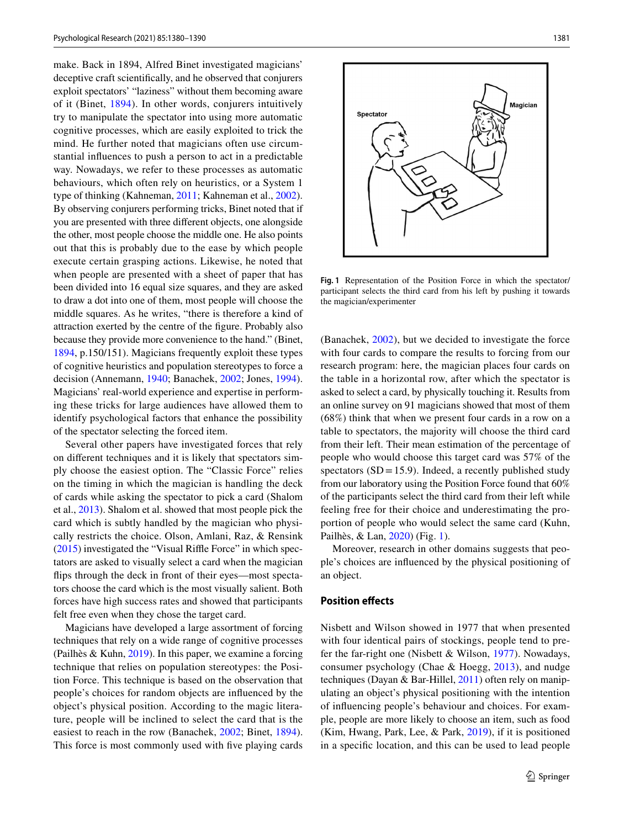make. Back in 1894, Alfred Binet investigated magicians' deceptive craft scientifcally, and he observed that conjurers exploit spectators' "laziness" without them becoming aware of it (Binet, [1894\)](#page-9-6). In other words, conjurers intuitively try to manipulate the spectator into using more automatic cognitive processes, which are easily exploited to trick the mind. He further noted that magicians often use circumstantial infuences to push a person to act in a predictable way. Nowadays, we refer to these processes as automatic behaviours, which often rely on heuristics, or a System 1 type of thinking (Kahneman, [2011;](#page-10-6) Kahneman et al., [2002](#page-10-3)). By observing conjurers performing tricks, Binet noted that if you are presented with three diferent objects, one alongside the other, most people choose the middle one. He also points out that this is probably due to the ease by which people execute certain grasping actions. Likewise, he noted that when people are presented with a sheet of paper that has been divided into 16 equal size squares, and they are asked to draw a dot into one of them, most people will choose the middle squares. As he writes, "there is therefore a kind of attraction exerted by the centre of the fgure. Probably also because they provide more convenience to the hand." (Binet, [1894](#page-9-6), p.150/151). Magicians frequently exploit these types of cognitive heuristics and population stereotypes to force a decision (Annemann, [1940](#page-9-7); Banachek, [2002](#page-9-8); Jones, [1994](#page-10-7)). Magicians' real-world experience and expertise in performing these tricks for large audiences have allowed them to identify psychological factors that enhance the possibility of the spectator selecting the forced item.

Several other papers have investigated forces that rely on diferent techniques and it is likely that spectators simply choose the easiest option. The "Classic Force" relies on the timing in which the magician is handling the deck of cards while asking the spectator to pick a card (Shalom et al., [2013\)](#page-10-8). Shalom et al. showed that most people pick the card which is subtly handled by the magician who physically restricts the choice. Olson, Amlani, Raz, & Rensink  $(2015)$  $(2015)$  investigated the "Visual Riffle Force" in which spectators are asked to visually select a card when the magician fips through the deck in front of their eyes—most spectators choose the card which is the most visually salient. Both forces have high success rates and showed that participants felt free even when they chose the target card.

Magicians have developed a large assortment of forcing techniques that rely on a wide range of cognitive processes (Pailhès & Kuhn, [2019](#page-10-5)). In this paper, we examine a forcing technique that relies on population stereotypes: the Position Force. This technique is based on the observation that people's choices for random objects are infuenced by the object's physical position. According to the magic literature, people will be inclined to select the card that is the easiest to reach in the row (Banachek, [2002;](#page-9-8) Binet, [1894](#page-9-6)). This force is most commonly used with fve playing cards



<span id="page-1-0"></span>**Fig. 1** Representation of the Position Force in which the spectator/ participant selects the third card from his left by pushing it towards the magician/experimenter

(Banachek, [2002\)](#page-9-8), but we decided to investigate the force with four cards to compare the results to forcing from our research program: here, the magician places four cards on the table in a horizontal row, after which the spectator is asked to select a card, by physically touching it. Results from an online survey on 91 magicians showed that most of them (68%) think that when we present four cards in a row on a table to spectators, the majority will choose the third card from their left. Their mean estimation of the percentage of people who would choose this target card was 57% of the spectators  $(SD = 15.9)$ . Indeed, a recently published study from our laboratory using the Position Force found that 60% of the participants select the third card from their left while feeling free for their choice and underestimating the proportion of people who would select the same card (Kuhn, Pailhès, & Lan, [2020](#page-10-10)) (Fig. [1](#page-1-0)).

Moreover, research in other domains suggests that people's choices are infuenced by the physical positioning of an object.

## **Position efects**

Nisbett and Wilson showed in 1977 that when presented with four identical pairs of stockings, people tend to prefer the far-right one (Nisbett & Wilson, [1977](#page-10-11)). Nowadays, consumer psychology (Chae & Hoegg, [2013](#page-9-9)), and nudge techniques (Dayan & Bar-Hillel, [2011](#page-9-10)) often rely on manipulating an object's physical positioning with the intention of infuencing people's behaviour and choices. For example, people are more likely to choose an item, such as food (Kim, Hwang, Park, Lee, & Park, [2019](#page-10-12)), if it is positioned in a specifc location, and this can be used to lead people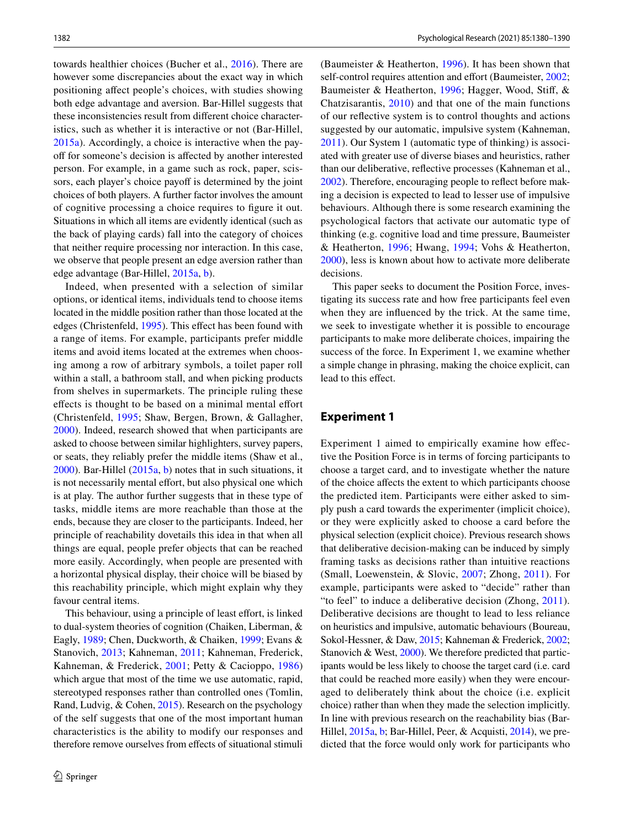towards healthier choices (Bucher et al., [2016\)](#page-9-11). There are however some discrepancies about the exact way in which positioning afect people's choices, with studies showing both edge advantage and aversion. Bar-Hillel suggests that these inconsistencies result from diferent choice characteristics, such as whether it is interactive or not (Bar-Hillel, [2015a\)](#page-9-12). Accordingly, a choice is interactive when the payoff for someone's decision is affected by another interested person. For example, in a game such as rock, paper, scissors, each player's choice payoff is determined by the joint choices of both players. A further factor involves the amount of cognitive processing a choice requires to fgure it out. Situations in which all items are evidently identical (such as the back of playing cards) fall into the category of choices that neither require processing nor interaction. In this case, we observe that people present an edge aversion rather than edge advantage (Bar-Hillel, [2015a](#page-9-12), [b](#page-9-13)).

Indeed, when presented with a selection of similar options, or identical items, individuals tend to choose items located in the middle position rather than those located at the edges (Christenfeld, [1995\)](#page-9-14). This efect has been found with a range of items. For example, participants prefer middle items and avoid items located at the extremes when choosing among a row of arbitrary symbols, a toilet paper roll within a stall, a bathroom stall, and when picking products from shelves in supermarkets. The principle ruling these efects is thought to be based on a minimal mental efort (Christenfeld, [1995](#page-9-14); Shaw, Bergen, Brown, & Gallagher, [2000](#page-10-13)). Indeed, research showed that when participants are asked to choose between similar highlighters, survey papers, or seats, they reliably prefer the middle items (Shaw et al., [2000](#page-10-13)). Bar-Hillel [\(2015a,](#page-9-12) [b](#page-9-13)) notes that in such situations, it is not necessarily mental effort, but also physical one which is at play. The author further suggests that in these type of tasks, middle items are more reachable than those at the ends, because they are closer to the participants. Indeed, her principle of reachability dovetails this idea in that when all things are equal, people prefer objects that can be reached more easily. Accordingly, when people are presented with a horizontal physical display, their choice will be biased by this reachability principle, which might explain why they favour central items.

This behaviour, using a principle of least effort, is linked to dual-system theories of cognition (Chaiken, Liberman, & Eagly, [1989;](#page-9-15) Chen, Duckworth, & Chaiken, [1999](#page-9-16); Evans & Stanovich, [2013](#page-9-17); Kahneman, [2011;](#page-10-6) Kahneman, Frederick, Kahneman, & Frederick, [2001;](#page-10-14) Petty & Cacioppo, [1986\)](#page-10-15) which argue that most of the time we use automatic, rapid, stereotyped responses rather than controlled ones (Tomlin, Rand, Ludvig, & Cohen, [2015\)](#page-10-16). Research on the psychology of the self suggests that one of the most important human characteristics is the ability to modify our responses and therefore remove ourselves from efects of situational stimuli (Baumeister & Heatherton, [1996](#page-9-18)). It has been shown that self-control requires attention and effort (Baumeister, [2002](#page-9-19); Baumeister & Heatherton, [1996;](#page-9-18) Hagger, Wood, Stif, & Chatzisarantis, [2010\)](#page-10-17) and that one of the main functions of our refective system is to control thoughts and actions suggested by our automatic, impulsive system (Kahneman, [2011](#page-10-6)). Our System 1 (automatic type of thinking) is associated with greater use of diverse biases and heuristics, rather than our deliberative, refective processes (Kahneman et al., [2002](#page-10-3)). Therefore, encouraging people to refect before making a decision is expected to lead to lesser use of impulsive behaviours. Although there is some research examining the psychological factors that activate our automatic type of thinking (e.g. cognitive load and time pressure, Baumeister & Heatherton, [1996;](#page-9-18) Hwang, [1994](#page-10-18); Vohs & Heatherton, [2000](#page-10-19)), less is known about how to activate more deliberate decisions.

This paper seeks to document the Position Force, investigating its success rate and how free participants feel even when they are infuenced by the trick. At the same time, we seek to investigate whether it is possible to encourage participants to make more deliberate choices, impairing the success of the force. In Experiment 1, we examine whether a simple change in phrasing, making the choice explicit, can lead to this effect.

# **Experiment 1**

Experiment 1 aimed to empirically examine how efective the Position Force is in terms of forcing participants to choose a target card, and to investigate whether the nature of the choice afects the extent to which participants choose the predicted item. Participants were either asked to simply push a card towards the experimenter (implicit choice), or they were explicitly asked to choose a card before the physical selection (explicit choice). Previous research shows that deliberative decision-making can be induced by simply framing tasks as decisions rather than intuitive reactions (Small, Loewenstein, & Slovic, [2007](#page-10-20); Zhong, [2011\)](#page-10-21). For example, participants were asked to "decide" rather than "to feel" to induce a deliberative decision (Zhong, [2011](#page-10-21)). Deliberative decisions are thought to lead to less reliance on heuristics and impulsive, automatic behaviours (Boureau, Sokol-Hessner, & Daw, [2015](#page-9-20); Kahneman & Frederick, [2002](#page-10-3); Stanovich & West, [2000](#page-10-22)). We therefore predicted that participants would be less likely to choose the target card (i.e. card that could be reached more easily) when they were encouraged to deliberately think about the choice (i.e. explicit choice) rather than when they made the selection implicitly. In line with previous research on the reachability bias (Bar-Hillel, [2015a,](#page-9-12) [b](#page-9-13); Bar-Hillel, Peer, & Acquisti, [2014\)](#page-9-21), we predicted that the force would only work for participants who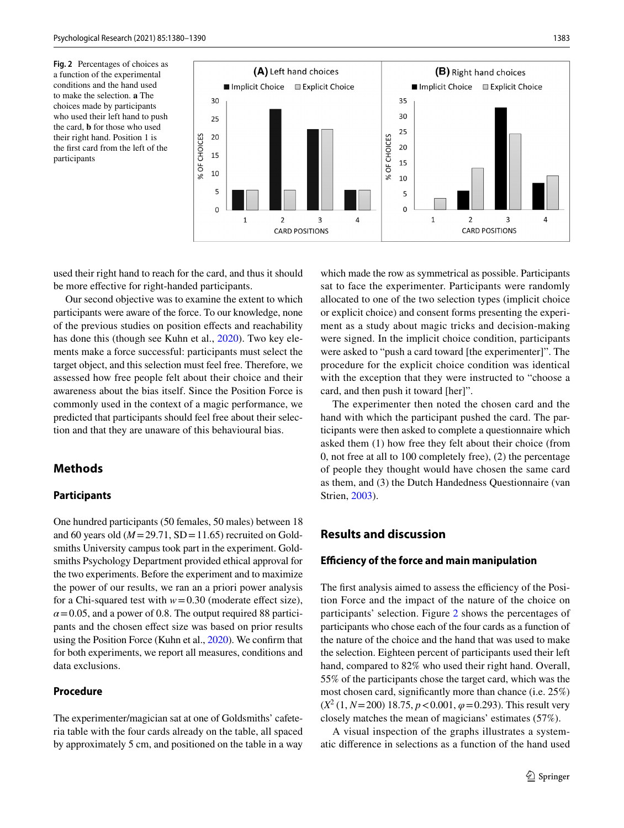<span id="page-3-0"></span>**Fig. 2** Percentages of choices as a function of the experimental conditions and the hand used to make the selection. **a** The choices made by participants who used their left hand to push the card, **b** for those who used their right hand. Position 1 is the frst card from the left of the participants



used their right hand to reach for the card, and thus it should be more efective for right-handed participants.

Our second objective was to examine the extent to which participants were aware of the force. To our knowledge, none of the previous studies on position efects and reachability has done this (though see Kuhn et al., [2020\)](#page-10-10). Two key elements make a force successful: participants must select the target object, and this selection must feel free. Therefore, we assessed how free people felt about their choice and their awareness about the bias itself. Since the Position Force is commonly used in the context of a magic performance, we predicted that participants should feel free about their selection and that they are unaware of this behavioural bias.

# **Methods**

#### **Participants**

One hundred participants (50 females, 50 males) between 18 and 60 years old  $(M=29.71, SD=11.65)$  recruited on Goldsmiths University campus took part in the experiment. Goldsmiths Psychology Department provided ethical approval for the two experiments. Before the experiment and to maximize the power of our results, we ran an a priori power analysis for a Chi-squared test with  $w=0.30$  (moderate effect size),  $\alpha$  = 0.05, and a power of 0.8. The output required 88 participants and the chosen efect size was based on prior results using the Position Force (Kuhn et al., [2020\)](#page-10-10). We confrm that for both experiments, we report all measures, conditions and data exclusions.

#### **Procedure**

The experimenter/magician sat at one of Goldsmiths' cafeteria table with the four cards already on the table, all spaced by approximately 5 cm, and positioned on the table in a way

which made the row as symmetrical as possible. Participants sat to face the experimenter. Participants were randomly allocated to one of the two selection types (implicit choice or explicit choice) and consent forms presenting the experiment as a study about magic tricks and decision-making were signed. In the implicit choice condition, participants were asked to "push a card toward [the experimenter]". The procedure for the explicit choice condition was identical with the exception that they were instructed to "choose a card, and then push it toward [her]".

The experimenter then noted the chosen card and the hand with which the participant pushed the card. The participants were then asked to complete a questionnaire which asked them (1) how free they felt about their choice (from 0, not free at all to 100 completely free), (2) the percentage of people they thought would have chosen the same card as them, and (3) the Dutch Handedness Questionnaire (van Strien, [2003\)](#page-10-23).

# **Results and discussion**

#### **Efciency of the force and main manipulation**

The first analysis aimed to assess the efficiency of the Position Force and the impact of the nature of the choice on participants' selection. Figure [2](#page-3-0) shows the percentages of participants who chose each of the four cards as a function of the nature of the choice and the hand that was used to make the selection. Eighteen percent of participants used their left hand, compared to 82% who used their right hand. Overall, 55% of the participants chose the target card, which was the most chosen card, signifcantly more than chance (i.e. 25%)  $(X^2 (1, N=200) 18.75, p < 0.001, \varphi = 0.293)$ . This result very closely matches the mean of magicians' estimates (57%).

A visual inspection of the graphs illustrates a systematic diference in selections as a function of the hand used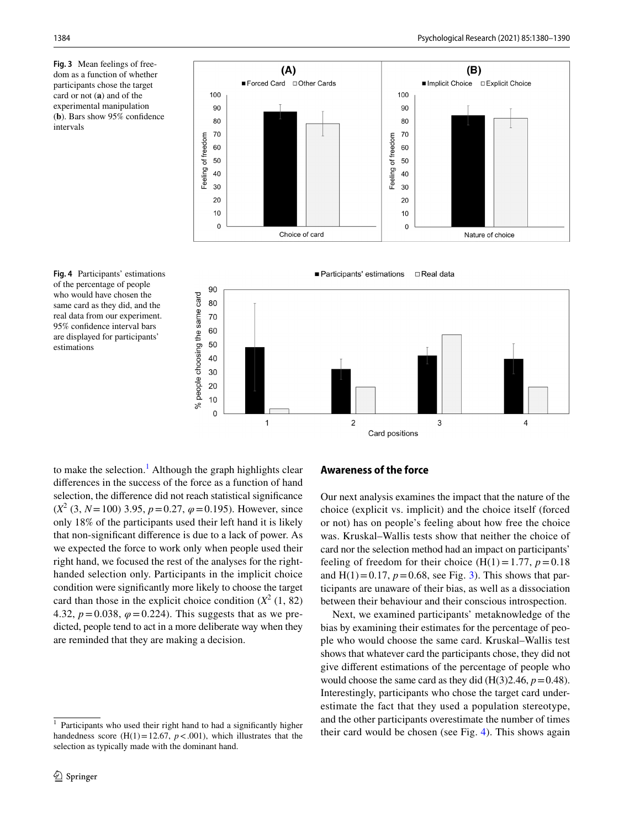<span id="page-4-1"></span>**Fig. 3** Mean feelings of freedom as a function of whether participants chose the target card or not (**a**) and of the experimental manipulation (**b**). Bars show 95% confdence intervals



<span id="page-4-2"></span>



to make the selection.<sup>[1](#page-4-0)</sup> Although the graph highlights clear diferences in the success of the force as a function of hand selection, the diference did not reach statistical signifcance  $(X^2 (3, N = 100)$  3.95,  $p = 0.27$ ,  $\varphi = 0.195$ ). However, since only 18% of the participants used their left hand it is likely that non-signifcant diference is due to a lack of power. As we expected the force to work only when people used their right hand, we focused the rest of the analyses for the righthanded selection only. Participants in the implicit choice condition were signifcantly more likely to choose the target card than those in the explicit choice condition  $(X^2(1, 82))$ 4.32,  $p = 0.038$ ,  $\varphi = 0.224$ ). This suggests that as we predicted, people tend to act in a more deliberate way when they are reminded that they are making a decision.

#### **Awareness of the force**

Our next analysis examines the impact that the nature of the choice (explicit vs. implicit) and the choice itself (forced or not) has on people's feeling about how free the choice was. Kruskal–Wallis tests show that neither the choice of card nor the selection method had an impact on participants' feeling of freedom for their choice  $(H(1)=1.77, p=0.18)$ and  $H(1)=0.17$ ,  $p=0.68$ , see Fig. [3\)](#page-4-1). This shows that participants are unaware of their bias, as well as a dissociation between their behaviour and their conscious introspection.

Next, we examined participants' metaknowledge of the bias by examining their estimates for the percentage of people who would choose the same card. Kruskal–Wallis test shows that whatever card the participants chose, they did not give diferent estimations of the percentage of people who would choose the same card as they did  $(H(3)2.46, p=0.48)$ . Interestingly, participants who chose the target card underestimate the fact that they used a population stereotype, and the other participants overestimate the number of times their card would be chosen (see Fig. [4](#page-4-2)). This shows again

<span id="page-4-0"></span>Participants who used their right hand to had a significantly higher handedness score (H(1)=12.67,  $p < .001$ ), which illustrates that the selection as typically made with the dominant hand.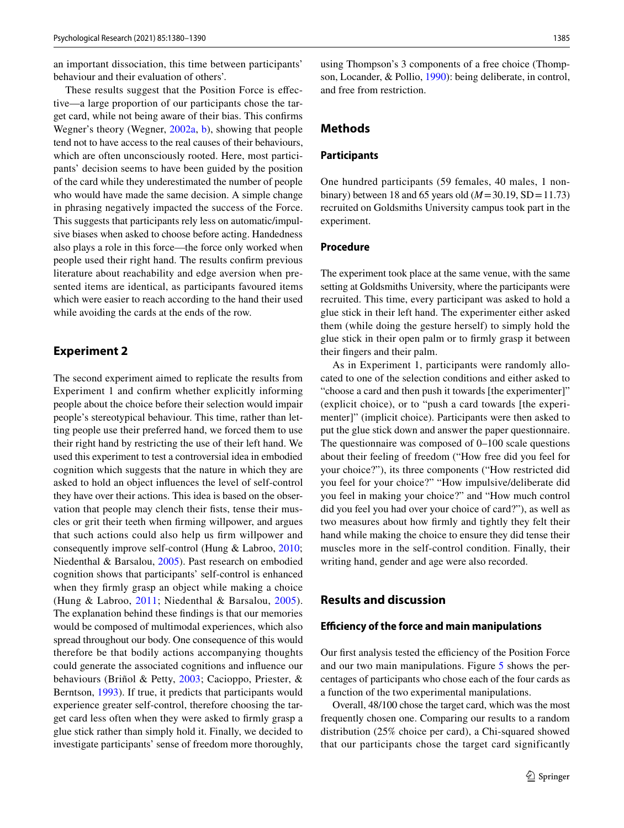an important dissociation, this time between participants' behaviour and their evaluation of others'.

These results suggest that the Position Force is efective—a large proportion of our participants chose the target card, while not being aware of their bias. This confrms Wegner's theory (Wegner, [2002a,](#page-10-24) [b](#page-10-25)), showing that people tend not to have access to the real causes of their behaviours, which are often unconsciously rooted. Here, most participants' decision seems to have been guided by the position of the card while they underestimated the number of people who would have made the same decision. A simple change in phrasing negatively impacted the success of the Force. This suggests that participants rely less on automatic/impulsive biases when asked to choose before acting. Handedness also plays a role in this force—the force only worked when people used their right hand. The results confrm previous literature about reachability and edge aversion when presented items are identical, as participants favoured items which were easier to reach according to the hand their used while avoiding the cards at the ends of the row.

#### **Experiment 2**

The second experiment aimed to replicate the results from Experiment 1 and confrm whether explicitly informing people about the choice before their selection would impair people's stereotypical behaviour. This time, rather than letting people use their preferred hand, we forced them to use their right hand by restricting the use of their left hand. We used this experiment to test a controversial idea in embodied cognition which suggests that the nature in which they are asked to hold an object infuences the level of self-control they have over their actions. This idea is based on the observation that people may clench their fists, tense their muscles or grit their teeth when frming willpower, and argues that such actions could also help us frm willpower and consequently improve self-control (Hung & Labroo, [2010](#page-10-26); Niedenthal & Barsalou, [2005](#page-10-27)). Past research on embodied cognition shows that participants' self-control is enhanced when they frmly grasp an object while making a choice (Hung & Labroo, [2011](#page-10-28); Niedenthal & Barsalou, [2005](#page-10-27)). The explanation behind these fndings is that our memories would be composed of multimodal experiences, which also spread throughout our body. One consequence of this would therefore be that bodily actions accompanying thoughts could generate the associated cognitions and infuence our behaviours (Briñol & Petty, [2003;](#page-9-22) Cacioppo, Priester, & Berntson, [1993](#page-9-23)). If true, it predicts that participants would experience greater self-control, therefore choosing the target card less often when they were asked to frmly grasp a glue stick rather than simply hold it. Finally, we decided to investigate participants' sense of freedom more thoroughly,

using Thompson's 3 components of a free choice (Thompson, Locander, & Pollio, [1990](#page-10-29)): being deliberate, in control, and free from restriction.

#### **Methods**

#### **Participants**

One hundred participants (59 females, 40 males, 1 nonbinary) between 18 and 65 years old  $(M=30.19, SD=11.73)$ recruited on Goldsmiths University campus took part in the experiment.

## **Procedure**

The experiment took place at the same venue, with the same setting at Goldsmiths University, where the participants were recruited. This time, every participant was asked to hold a glue stick in their left hand. The experimenter either asked them (while doing the gesture herself) to simply hold the glue stick in their open palm or to frmly grasp it between their fngers and their palm.

As in Experiment 1, participants were randomly allocated to one of the selection conditions and either asked to "choose a card and then push it towards [the experimenter]" (explicit choice), or to "push a card towards [the experimenter]" (implicit choice). Participants were then asked to put the glue stick down and answer the paper questionnaire. The questionnaire was composed of 0–100 scale questions about their feeling of freedom ("How free did you feel for your choice?"), its three components ("How restricted did you feel for your choice?" "How impulsive/deliberate did you feel in making your choice?" and "How much control did you feel you had over your choice of card?"), as well as two measures about how frmly and tightly they felt their hand while making the choice to ensure they did tense their muscles more in the self-control condition. Finally, their writing hand, gender and age were also recorded.

# **Results and discussion**

#### **Efciency of the force and main manipulations**

Our first analysis tested the efficiency of the Position Force and our two main manipulations. Figure [5](#page-6-0) shows the percentages of participants who chose each of the four cards as a function of the two experimental manipulations.

Overall, 48/100 chose the target card, which was the most frequently chosen one. Comparing our results to a random distribution (25% choice per card), a Chi-squared showed that our participants chose the target card significantly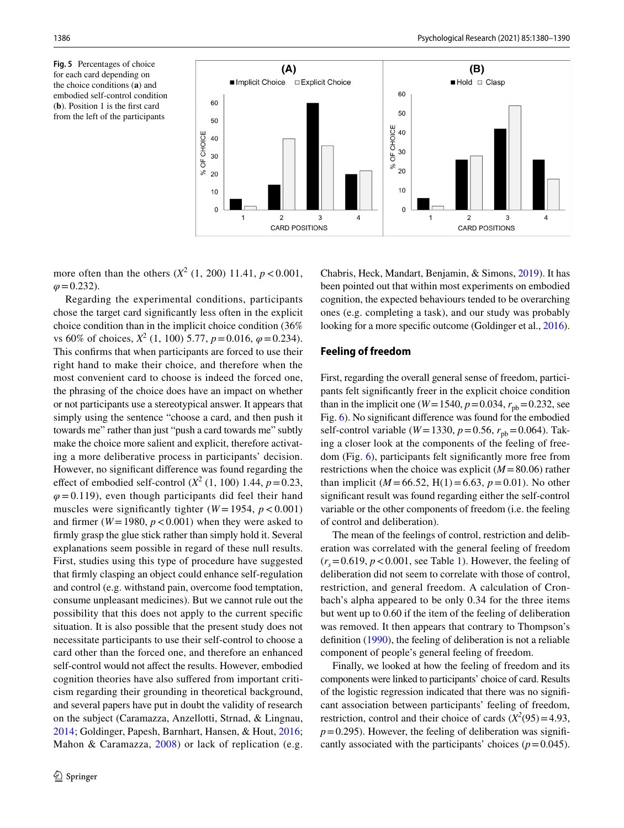<span id="page-6-0"></span>**Fig. 5** Percentages of choice for each card depending on the choice conditions (**a**) and embodied self-control condition (**b**). Position 1 is the frst card from the left of the participants



more often than the others  $(X^2 (1, 200) 11.41, p < 0.001,$  $\varphi$ =0.232).

Regarding the experimental conditions, participants chose the target card signifcantly less often in the explicit choice condition than in the implicit choice condition (36% vs 60% of choices,  $X^2$  (1, 100) 5.77,  $p = 0.016$ ,  $\varphi = 0.234$ ). This confrms that when participants are forced to use their right hand to make their choice, and therefore when the most convenient card to choose is indeed the forced one, the phrasing of the choice does have an impact on whether or not participants use a stereotypical answer. It appears that simply using the sentence "choose a card, and then push it towards me" rather than just "push a card towards me" subtly make the choice more salient and explicit, therefore activating a more deliberative process in participants' decision. However, no signifcant diference was found regarding the effect of embodied self-control  $(X^2 (1, 100) 1.44, p = 0.23,$  $\varphi$ =0.119), even though participants did feel their hand muscles were significantly tighter  $(W = 1954, p < 0.001)$ and firmer ( $W = 1980$ ,  $p < 0.001$ ) when they were asked to frmly grasp the glue stick rather than simply hold it. Several explanations seem possible in regard of these null results. First, studies using this type of procedure have suggested that frmly clasping an object could enhance self-regulation and control (e.g. withstand pain, overcome food temptation, consume unpleasant medicines). But we cannot rule out the possibility that this does not apply to the current specifc situation. It is also possible that the present study does not necessitate participants to use their self-control to choose a card other than the forced one, and therefore an enhanced self-control would not affect the results. However, embodied cognition theories have also sufered from important criticism regarding their grounding in theoretical background, and several papers have put in doubt the validity of research on the subject (Caramazza, Anzellotti, Strnad, & Lingnau, [2014](#page-9-24); Goldinger, Papesh, Barnhart, Hansen, & Hout, [2016](#page-10-30); Mahon & Caramazza, [2008](#page-10-31)) or lack of replication (e.g.

Chabris, Heck, Mandart, Benjamin, & Simons, [2019\)](#page-9-25). It has been pointed out that within most experiments on embodied cognition, the expected behaviours tended to be overarching ones (e.g. completing a task), and our study was probably looking for a more specific outcome (Goldinger et al., [2016](#page-10-30)).

#### **Feeling of freedom**

First, regarding the overall general sense of freedom, participants felt signifcantly freer in the explicit choice condition than in the implicit one ( $W = 1540$ ,  $p = 0.034$ ,  $r_{pb} = 0.232$ , see Fig. [6\)](#page-7-0). No signifcant diference was found for the embodied self-control variable ( $W = 1330$ ,  $p = 0.56$ ,  $r_{\text{pb}} = 0.064$ ). Taking a closer look at the components of the feeling of freedom (Fig. [6](#page-7-0)), participants felt signifcantly more free from restrictions when the choice was explicit (*M*=80.06) rather than implicit ( $M = 66.52$ , H(1)=6.63,  $p = 0.01$ ). No other signifcant result was found regarding either the self-control variable or the other components of freedom (i.e. the feeling of control and deliberation).

The mean of the feelings of control, restriction and deliberation was correlated with the general feeling of freedom  $(r<sub>s</sub>=0.619, p<0.001,$  see Table [1](#page-7-1)). However, the feeling of deliberation did not seem to correlate with those of control, restriction, and general freedom. A calculation of Cronbach's alpha appeared to be only 0.34 for the three items but went up to 0.60 if the item of the feeling of deliberation was removed. It then appears that contrary to Thompson's defnition [\(1990](#page-10-29)), the feeling of deliberation is not a reliable component of people's general feeling of freedom.

Finally, we looked at how the feeling of freedom and its components were linked to participants' choice of card. Results of the logistic regression indicated that there was no signifcant association between participants' feeling of freedom, restriction, control and their choice of cards  $(X^2(95) = 4.93$ ,  $p=0.295$ ). However, the feeling of deliberation was significantly associated with the participants' choices  $(p=0.045)$ .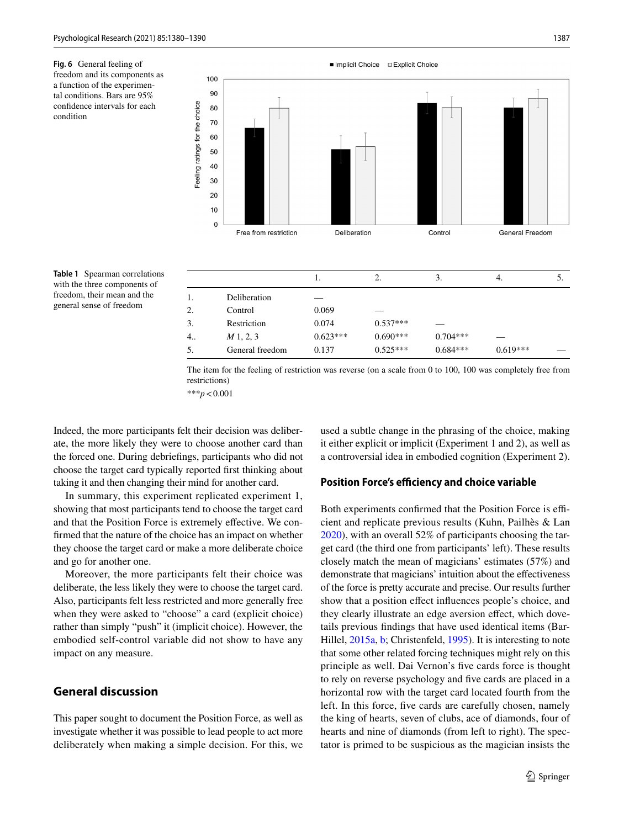<span id="page-7-0"></span>**Fig. 6** General feeling of freedom and its components as a function of the experimental conditions. Bars are 95% confdence intervals for each condition



<span id="page-7-1"></span>**Table 1** Spearman correlations with the three components of freedom, their mean and the general sense of freedom

|    |                 | 1.         | 2.         | 3.         | -4.        | D. |
|----|-----------------|------------|------------|------------|------------|----|
| 1. | Deliberation    |            |            |            |            |    |
| 2. | Control         | 0.069      |            |            |            |    |
| 3. | Restriction     | 0.074      | $0.537***$ |            |            |    |
| 4  | M1, 2, 3        | $0.623***$ | $0.690***$ | $0.704***$ |            |    |
| 5. | General freedom | 0.137      | $0.525***$ | $0.684***$ | $0.619***$ |    |
|    |                 |            |            |            |            |    |

The item for the feeling of restriction was reverse (on a scale from 0 to 100, 100 was completely free from restrictions)

\*\*\**p*<0.001

Indeed, the more participants felt their decision was deliberate, the more likely they were to choose another card than the forced one. During debriefngs, participants who did not choose the target card typically reported frst thinking about taking it and then changing their mind for another card.

In summary, this experiment replicated experiment 1, showing that most participants tend to choose the target card and that the Position Force is extremely effective. We confrmed that the nature of the choice has an impact on whether they choose the target card or make a more deliberate choice and go for another one.

Moreover, the more participants felt their choice was deliberate, the less likely they were to choose the target card. Also, participants felt less restricted and more generally free when they were asked to "choose" a card (explicit choice) rather than simply "push" it (implicit choice). However, the embodied self-control variable did not show to have any impact on any measure.

# **General discussion**

This paper sought to document the Position Force, as well as investigate whether it was possible to lead people to act more deliberately when making a simple decision. For this, we

used a subtle change in the phrasing of the choice, making it either explicit or implicit (Experiment 1 and 2), as well as a controversial idea in embodied cognition (Experiment 2).

#### **Position Force's efficiency and choice variable**

Both experiments confirmed that the Position Force is efficient and replicate previous results (Kuhn, Pailhès & Lan [2020](#page-10-10)), with an overall 52% of participants choosing the target card (the third one from participants' left). These results closely match the mean of magicians' estimates (57%) and demonstrate that magicians' intuition about the effectiveness of the force is pretty accurate and precise. Our results further show that a position effect influences people's choice, and they clearly illustrate an edge aversion effect, which dovetails previous fndings that have used identical items (Bar-Hillel, [2015a](#page-9-12), [b](#page-9-13); Christenfeld, [1995](#page-9-14)). It is interesting to note that some other related forcing techniques might rely on this principle as well. Dai Vernon's fve cards force is thought to rely on reverse psychology and fve cards are placed in a horizontal row with the target card located fourth from the left. In this force, fve cards are carefully chosen, namely the king of hearts, seven of clubs, ace of diamonds, four of hearts and nine of diamonds (from left to right). The spectator is primed to be suspicious as the magician insists the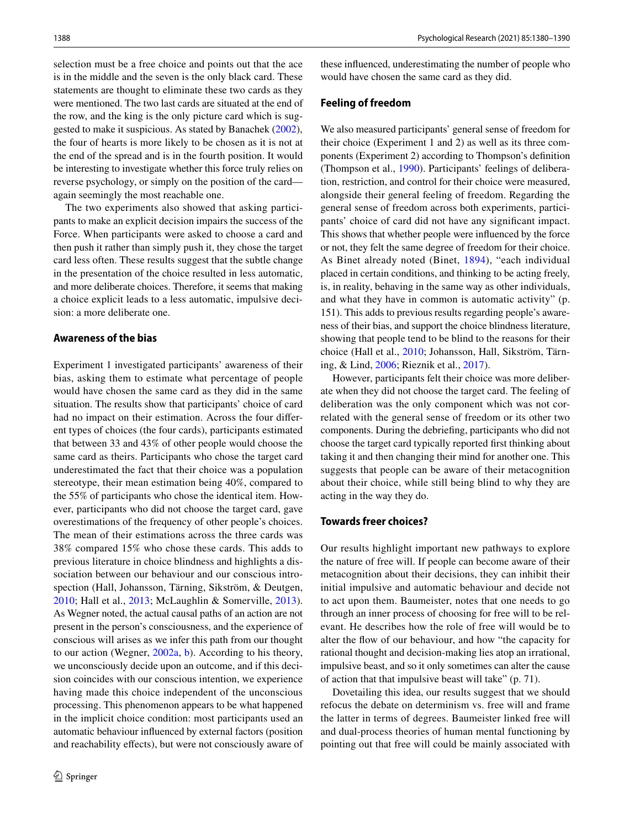selection must be a free choice and points out that the ace is in the middle and the seven is the only black card. These statements are thought to eliminate these two cards as they were mentioned. The two last cards are situated at the end of the row, and the king is the only picture card which is suggested to make it suspicious. As stated by Banachek [\(2002](#page-9-8)), the four of hearts is more likely to be chosen as it is not at the end of the spread and is in the fourth position. It would be interesting to investigate whether this force truly relies on reverse psychology, or simply on the position of the card again seemingly the most reachable one.

The two experiments also showed that asking participants to make an explicit decision impairs the success of the Force. When participants were asked to choose a card and then push it rather than simply push it, they chose the target card less often. These results suggest that the subtle change in the presentation of the choice resulted in less automatic, and more deliberate choices. Therefore, it seems that making a choice explicit leads to a less automatic, impulsive decision: a more deliberate one.

# **Awareness of the bias**

Experiment 1 investigated participants' awareness of their bias, asking them to estimate what percentage of people would have chosen the same card as they did in the same situation. The results show that participants' choice of card had no impact on their estimation. Across the four diferent types of choices (the four cards), participants estimated that between 33 and 43% of other people would choose the same card as theirs. Participants who chose the target card underestimated the fact that their choice was a population stereotype, their mean estimation being 40%, compared to the 55% of participants who chose the identical item. However, participants who did not choose the target card, gave overestimations of the frequency of other people's choices. The mean of their estimations across the three cards was 38% compared 15% who chose these cards. This adds to previous literature in choice blindness and highlights a dissociation between our behaviour and our conscious introspection (Hall, Johansson, Tärning, Sikström, & Deutgen, [2010](#page-10-32); Hall et al., [2013](#page-10-33); McLaughlin & Somerville, [2013](#page-10-34)). As Wegner noted, the actual causal paths of an action are not present in the person's consciousness, and the experience of conscious will arises as we infer this path from our thought to our action (Wegner, [2002a,](#page-10-24) [b](#page-10-25)). According to his theory, we unconsciously decide upon an outcome, and if this decision coincides with our conscious intention, we experience having made this choice independent of the unconscious processing. This phenomenon appears to be what happened in the implicit choice condition: most participants used an automatic behaviour infuenced by external factors (position and reachability effects), but were not consciously aware of these infuenced, underestimating the number of people who would have chosen the same card as they did.

#### **Feeling of freedom**

We also measured participants' general sense of freedom for their choice (Experiment 1 and 2) as well as its three components (Experiment 2) according to Thompson's defnition (Thompson et al., [1990\)](#page-10-29). Participants' feelings of deliberation, restriction, and control for their choice were measured, alongside their general feeling of freedom. Regarding the general sense of freedom across both experiments, participants' choice of card did not have any signifcant impact. This shows that whether people were infuenced by the force or not, they felt the same degree of freedom for their choice. As Binet already noted (Binet, [1894\)](#page-9-6), "each individual placed in certain conditions, and thinking to be acting freely, is, in reality, behaving in the same way as other individuals, and what they have in common is automatic activity" (p. 151). This adds to previous results regarding people's awareness of their bias, and support the choice blindness literature, showing that people tend to be blind to the reasons for their choice (Hall et al., [2010](#page-10-32); Johansson, Hall, Sikström, Tärning, & Lind, [2006;](#page-10-35) Rieznik et al., [2017](#page-10-36)).

However, participants felt their choice was more deliberate when they did not choose the target card. The feeling of deliberation was the only component which was not correlated with the general sense of freedom or its other two components. During the debriefng, participants who did not choose the target card typically reported frst thinking about taking it and then changing their mind for another one. This suggests that people can be aware of their metacognition about their choice, while still being blind to why they are acting in the way they do.

#### **Towards freer choices?**

Our results highlight important new pathways to explore the nature of free will. If people can become aware of their metacognition about their decisions, they can inhibit their initial impulsive and automatic behaviour and decide not to act upon them. Baumeister, notes that one needs to go through an inner process of choosing for free will to be relevant. He describes how the role of free will would be to alter the fow of our behaviour, and how "the capacity for rational thought and decision-making lies atop an irrational, impulsive beast, and so it only sometimes can alter the cause of action that that impulsive beast will take" (p. 71).

Dovetailing this idea, our results suggest that we should refocus the debate on determinism vs. free will and frame the latter in terms of degrees. Baumeister linked free will and dual-process theories of human mental functioning by pointing out that free will could be mainly associated with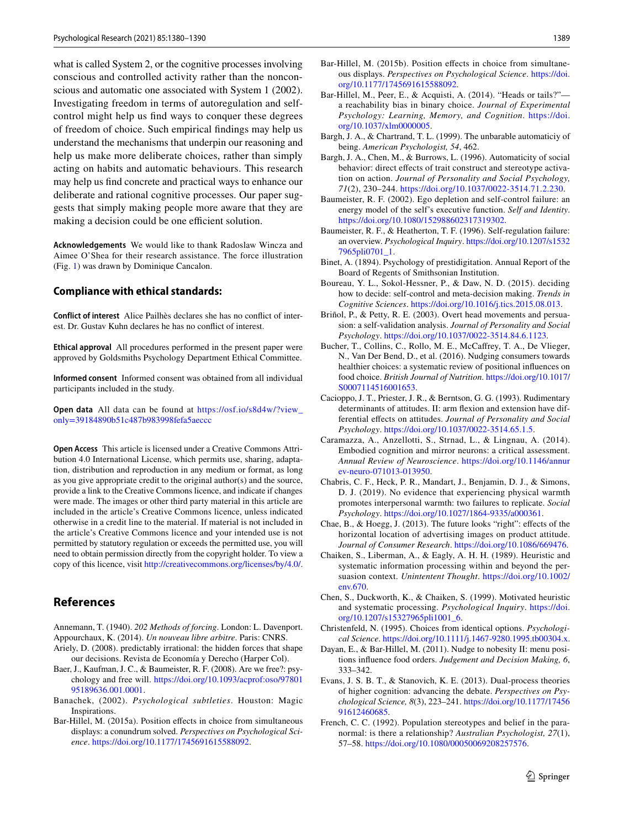what is called System 2, or the cognitive processes involving conscious and controlled activity rather than the nonconscious and automatic one associated with System 1 (2002). Investigating freedom in terms of autoregulation and selfcontrol might help us fnd ways to conquer these degrees of freedom of choice. Such empirical fndings may help us understand the mechanisms that underpin our reasoning and help us make more deliberate choices, rather than simply acting on habits and automatic behaviours. This research may help us fnd concrete and practical ways to enhance our deliberate and rational cognitive processes. Our paper suggests that simply making people more aware that they are making a decision could be one efficient solution.

**Acknowledgements** We would like to thank Radoslaw Wincza and Aimee O'Shea for their research assistance. The force illustration (Fig. [1\)](#page-1-0) was drawn by Dominique Cancalon.

#### **Compliance with ethical standards:**

**Conflict of interest** Alice Pailhès declares she has no confict of interest. Dr. Gustav Kuhn declares he has no confict of interest.

**Ethical approval** All procedures performed in the present paper were approved by Goldsmiths Psychology Department Ethical Committee.

**Informed consent** Informed consent was obtained from all individual participants included in the study.

**Open data** All data can be found at [https://osf.io/s8d4w/?view\\_](https://osf.io/s8d4w/?view_only=39184890b51c487b983998fefa5aeccc) [only=39184890b51c487b983998fefa5aeccc](https://osf.io/s8d4w/?view_only=39184890b51c487b983998fefa5aeccc)

**Open Access** This article is licensed under a Creative Commons Attribution 4.0 International License, which permits use, sharing, adaptation, distribution and reproduction in any medium or format, as long as you give appropriate credit to the original author(s) and the source, provide a link to the Creative Commons licence, and indicate if changes were made. The images or other third party material in this article are included in the article's Creative Commons licence, unless indicated otherwise in a credit line to the material. If material is not included in the article's Creative Commons licence and your intended use is not permitted by statutory regulation or exceeds the permitted use, you will need to obtain permission directly from the copyright holder. To view a copy of this licence, visit <http://creativecommons.org/licenses/by/4.0/>.

# **References**

<span id="page-9-7"></span><span id="page-9-4"></span>Annemann, T. (1940). *202 Methods of forcing*. London: L. Davenport. Appourchaux, K. (2014). *Un nouveau libre arbitre*. Paris: CNRS.

- <span id="page-9-0"></span>Ariely, D. (2008). predictably irrational: the hidden forces that shape our decisions. Revista de Economía y Derecho (Harper Col).
- <span id="page-9-5"></span>Baer, J., Kaufman, J. C., & Baumeister, R. F. (2008). Are we free?: psychology and free will. [https://doi.org/10.1093/acprof:oso/97801](https://doi.org/10.1093/acprof:oso/9780195189636.001.0001) [95189636.001.0001.](https://doi.org/10.1093/acprof:oso/9780195189636.001.0001)
- <span id="page-9-8"></span>Banachek, (2002). *Psychological subtleties*. Houston: Magic Inspirations.
- <span id="page-9-12"></span>Bar-Hillel, M. (2015a). Position effects in choice from simultaneous displays: a conundrum solved. *Perspectives on Psychological Science*. [https://doi.org/10.1177/1745691615588092.](https://doi.org/10.1177/1745691615588092)
- <span id="page-9-13"></span>Bar-Hillel, M. (2015b). Position efects in choice from simultaneous displays. *Perspectives on Psychological Science*. [https://doi.](https://doi.org/10.1177/1745691615588092) [org/10.1177/1745691615588092.](https://doi.org/10.1177/1745691615588092)
- <span id="page-9-21"></span>Bar-Hillel, M., Peer, E., & Acquisti, A. (2014). "Heads or tails?" a reachability bias in binary choice. *Journal of Experimental Psychology: Learning, Memory, and Cognition*. [https://doi.](https://doi.org/10.1037/xlm0000005) [org/10.1037/xlm0000005.](https://doi.org/10.1037/xlm0000005)
- <span id="page-9-1"></span>Bargh, J. A., & Chartrand, T. L. (1999). The unbarable automaticiy of being. *American Psychologist, 54*, 462.
- <span id="page-9-2"></span>Bargh, J. A., Chen, M., & Burrows, L. (1996). Automaticity of social behavior: direct effects of trait construct and stereotype activation on action. *Journal of Personality and Social Psychology, 71*(2), 230–244. [https://doi.org/10.1037/0022-3514.71.2.230.](https://doi.org/10.1037/0022-3514.71.2.230)
- <span id="page-9-19"></span>Baumeister, R. F. (2002). Ego depletion and self-control failure: an energy model of the self's executive function. *Self and Identity*. [https://doi.org/10.1080/152988602317319302.](https://doi.org/10.1080/152988602317319302)
- <span id="page-9-18"></span>Baumeister, R. F., & Heatherton, T. F. (1996). Self-regulation failure: an overview. *Psychological Inquiry*. [https://doi.org/10.1207/s1532](https://doi.org/10.1207/s15327965pli0701_1) [7965pli0701\\_1](https://doi.org/10.1207/s15327965pli0701_1).
- <span id="page-9-6"></span>Binet, A. (1894). Psychology of prestidigitation. Annual Report of the Board of Regents of Smithsonian Institution.
- <span id="page-9-20"></span>Boureau, Y. L., Sokol-Hessner, P., & Daw, N. D. (2015). deciding how to decide: self-control and meta-decision making. *Trends in Cognitive Sciences*.<https://doi.org/10.1016/j.tics.2015.08.013>.
- <span id="page-9-22"></span>Briñol, P., & Petty, R. E. (2003). Overt head movements and persuasion: a self-validation analysis. *Journal of Personality and Social Psychology*. [https://doi.org/10.1037/0022-3514.84.6.1123.](https://doi.org/10.1037/0022-3514.84.6.1123)
- <span id="page-9-11"></span>Bucher, T., Collins, C., Rollo, M. E., McCafrey, T. A., De Vlieger, N., Van Der Bend, D., et al. (2016). Nudging consumers towards healthier choices: a systematic review of positional infuences on food choice. *British Journal of Nutrition*. [https://doi.org/10.1017/](https://doi.org/10.1017/S0007114516001653) [S0007114516001653.](https://doi.org/10.1017/S0007114516001653)
- <span id="page-9-23"></span>Cacioppo, J. T., Priester, J. R., & Berntson, G. G. (1993). Rudimentary determinants of attitudes. II: arm fexion and extension have differential efects on attitudes. *Journal of Personality and Social Psychology*. [https://doi.org/10.1037/0022-3514.65.1.5.](https://doi.org/10.1037/0022-3514.65.1.5)
- <span id="page-9-24"></span>Caramazza, A., Anzellotti, S., Strnad, L., & Lingnau, A. (2014). Embodied cognition and mirror neurons: a critical assessment. *Annual Review of Neuroscience*. [https://doi.org/10.1146/annur](https://doi.org/10.1146/annurev-neuro-071013-013950) [ev-neuro-071013-013950.](https://doi.org/10.1146/annurev-neuro-071013-013950)
- <span id="page-9-25"></span>Chabris, C. F., Heck, P. R., Mandart, J., Benjamin, D. J., & Simons, D. J. (2019). No evidence that experiencing physical warmth promotes interpersonal warmth: two failures to replicate. *Social Psychology*. <https://doi.org/10.1027/1864-9335/a000361>.
- <span id="page-9-9"></span>Chae, B., & Hoegg, J. (2013). The future looks "right": efects of the horizontal location of advertising images on product attitude. *Journal of Consumer Research*. [https://doi.org/10.1086/669476.](https://doi.org/10.1086/669476)
- <span id="page-9-15"></span>Chaiken, S., Liberman, A., & Eagly, A. H. H. (1989). Heuristic and systematic information processing within and beyond the persuasion context. *Unintentent Thought*. [https://doi.org/10.1002/](https://doi.org/10.1002/env.670) [env.670.](https://doi.org/10.1002/env.670)
- <span id="page-9-16"></span>Chen, S., Duckworth, K., & Chaiken, S. (1999). Motivated heuristic and systematic processing. *Psychological Inquiry*. [https://doi.](https://doi.org/10.1207/s15327965pli1001_6) [org/10.1207/s15327965pli1001\\_6.](https://doi.org/10.1207/s15327965pli1001_6)
- <span id="page-9-14"></span>Christenfeld, N. (1995). Choices from identical options. *Psychological Science*.<https://doi.org/10.1111/j.1467-9280.1995.tb00304.x>.
- <span id="page-9-10"></span>Dayan, E., & Bar-Hillel, M. (2011). Nudge to nobesity II: menu positions infuence food orders. *Judgement and Decision Making, 6*, 333–342.
- <span id="page-9-17"></span>Evans, J. S. B. T., & Stanovich, K. E. (2013). Dual-process theories of higher cognition: advancing the debate. *Perspectives on Psychological Science, 8*(3), 223–241. [https://doi.org/10.1177/17456](https://doi.org/10.1177/1745691612460685) [91612460685](https://doi.org/10.1177/1745691612460685).
- <span id="page-9-3"></span>French, C. C. (1992). Population stereotypes and belief in the paranormal: is there a relationship? *Australian Psychologist, 27*(1), 57–58. [https://doi.org/10.1080/00050069208257576.](https://doi.org/10.1080/00050069208257576)